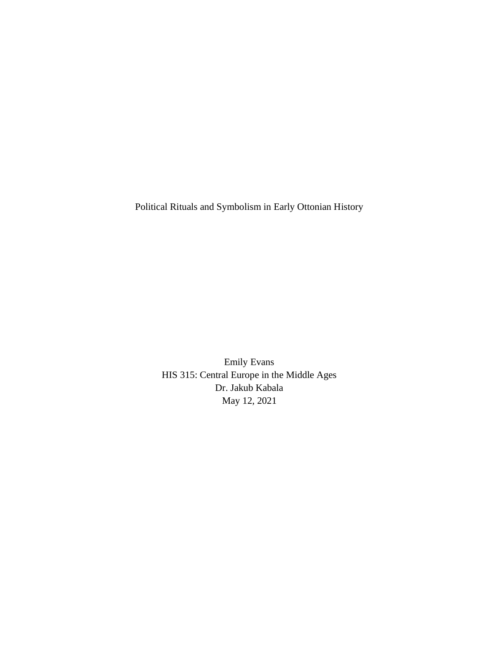Political Rituals and Symbolism in Early Ottonian History

Emily Evans HIS 315: Central Europe in the Middle Ages Dr. Jakub Kabala May 12, 2021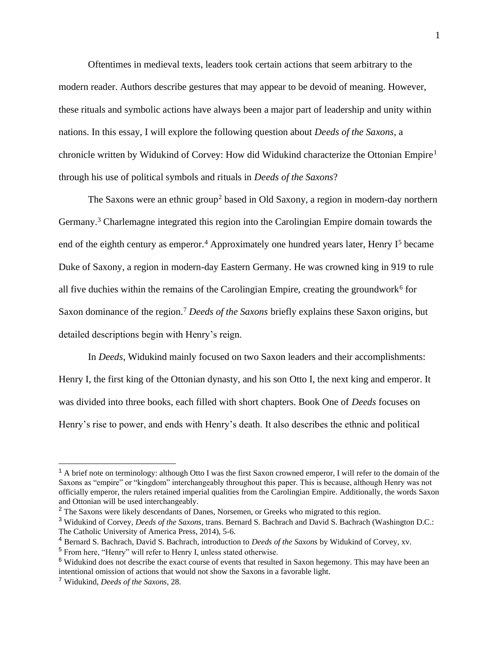Oftentimes in medieval texts, leaders took certain actions that seem arbitrary to the modern reader. Authors describe gestures that may appear to be devoid of meaning. However, these rituals and symbolic actions have always been a major part of leadership and unity within nations. In this essay, I will explore the following question about *Deeds of the Saxons*, a chronicle written by Widukind of Corvey: How did Widukind characterize the Ottonian Empire<sup>1</sup> through his use of political symbols and rituals in *Deeds of the Saxons*?

The Saxons were an ethnic group<sup>2</sup> based in Old Saxony, a region in modern-day northern Germany.<sup>3</sup> Charlemagne integrated this region into the Carolingian Empire domain towards the end of the eighth century as emperor.<sup>4</sup> Approximately one hundred years later, Henry  $I^5$  became Duke of Saxony, a region in modern-day Eastern Germany. He was crowned king in 919 to rule all five duchies within the remains of the Carolingian Empire, creating the groundwork<sup>6</sup> for Saxon dominance of the region.<sup>7</sup> *Deeds of the Saxons* briefly explains these Saxon origins, but detailed descriptions begin with Henry's reign.

In *Deeds*, Widukind mainly focused on two Saxon leaders and their accomplishments: Henry I, the first king of the Ottonian dynasty, and his son Otto I, the next king and emperor. It was divided into three books, each filled with short chapters. Book One of *Deeds* focuses on Henry's rise to power, and ends with Henry's death. It also describes the ethnic and political

 $<sup>1</sup>$  A brief note on terminology: although Otto I was the first Saxon crowned emperor, I will refer to the domain of the</sup> Saxons as "empire" or "kingdom" interchangeably throughout this paper. This is because, although Henry was not officially emperor, the rulers retained imperial qualities from the Carolingian Empire. Additionally, the words Saxon and Ottonian will be used interchangeably.

<sup>&</sup>lt;sup>2</sup> The Saxons were likely descendants of Danes, Norsemen, or Greeks who migrated to this region.

<sup>3</sup> Widukind of Corvey, *Deeds of the Saxons*, trans. Bernard S. Bachrach and David S. Bachrach (Washington D.C.: The Catholic University of America Press, 2014), 5-6.

<sup>4</sup> Bernard S. Bachrach, David S. Bachrach, introduction to *Deeds of the Saxons* by Widukind of Corvey, xv.

<sup>5</sup> From here, "Henry" will refer to Henry I, unless stated otherwise.

<sup>&</sup>lt;sup>6</sup> Widukind does not describe the exact course of events that resulted in Saxon hegemony. This may have been an intentional omission of actions that would not show the Saxons in a favorable light.

<sup>7</sup> Widukind, *Deeds of the Saxons*, 28.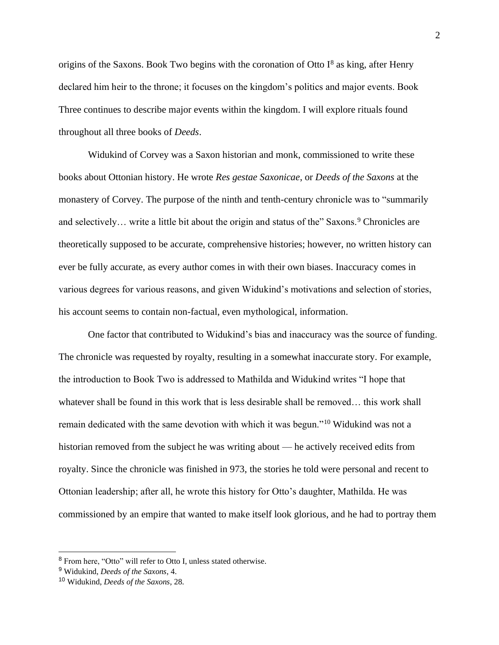origins of the Saxons. Book Two begins with the coronation of Otto  $I^8$  as king, after Henry declared him heir to the throne; it focuses on the kingdom's politics and major events. Book Three continues to describe major events within the kingdom. I will explore rituals found throughout all three books of *Deeds*.

Widukind of Corvey was a Saxon historian and monk, commissioned to write these books about Ottonian history. He wrote *Res gestae Saxonicae*, or *Deeds of the Saxons* at the monastery of Corvey. The purpose of the ninth and tenth-century chronicle was to "summarily and selectively... write a little bit about the origin and status of the" Saxons.<sup>9</sup> Chronicles are theoretically supposed to be accurate, comprehensive histories; however, no written history can ever be fully accurate, as every author comes in with their own biases. Inaccuracy comes in various degrees for various reasons, and given Widukind's motivations and selection of stories, his account seems to contain non-factual, even mythological, information.

One factor that contributed to Widukind's bias and inaccuracy was the source of funding. The chronicle was requested by royalty, resulting in a somewhat inaccurate story. For example, the introduction to Book Two is addressed to Mathilda and Widukind writes "I hope that whatever shall be found in this work that is less desirable shall be removed… this work shall remain dedicated with the same devotion with which it was begun."<sup>10</sup> Widukind was not a historian removed from the subject he was writing about — he actively received edits from royalty. Since the chronicle was finished in 973, the stories he told were personal and recent to Ottonian leadership; after all, he wrote this history for Otto's daughter, Mathilda. He was commissioned by an empire that wanted to make itself look glorious, and he had to portray them

<sup>8</sup> From here, "Otto" will refer to Otto I, unless stated otherwise.

<sup>9</sup> Widukind, *Deeds of the Saxons*, 4.

<sup>10</sup> Widukind, *Deeds of the Saxons*, 28.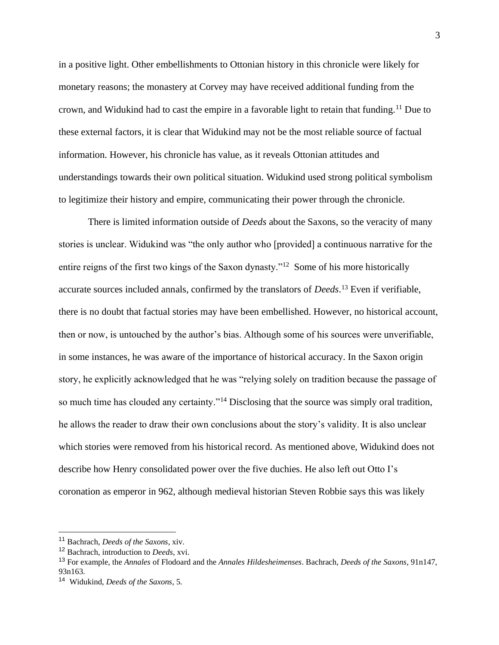in a positive light. Other embellishments to Ottonian history in this chronicle were likely for monetary reasons; the monastery at Corvey may have received additional funding from the crown, and Widukind had to cast the empire in a favorable light to retain that funding.<sup>11</sup> Due to these external factors, it is clear that Widukind may not be the most reliable source of factual information. However, his chronicle has value, as it reveals Ottonian attitudes and understandings towards their own political situation. Widukind used strong political symbolism to legitimize their history and empire, communicating their power through the chronicle.

There is limited information outside of *Deeds* about the Saxons, so the veracity of many stories is unclear. Widukind was "the only author who [provided] a continuous narrative for the entire reigns of the first two kings of the Saxon dynasty."<sup>12</sup> Some of his more historically accurate sources included annals, confirmed by the translators of *Deeds*. <sup>13</sup> Even if verifiable, there is no doubt that factual stories may have been embellished. However, no historical account, then or now, is untouched by the author's bias. Although some of his sources were unverifiable, in some instances, he was aware of the importance of historical accuracy. In the Saxon origin story, he explicitly acknowledged that he was "relying solely on tradition because the passage of so much time has clouded any certainty."<sup>14</sup> Disclosing that the source was simply oral tradition, he allows the reader to draw their own conclusions about the story's validity. It is also unclear which stories were removed from his historical record. As mentioned above, Widukind does not describe how Henry consolidated power over the five duchies. He also left out Otto I's coronation as emperor in 962, although medieval historian Steven Robbie says this was likely

<sup>11</sup> Bachrach, *Deeds of the Saxons*, xiv.

<sup>12</sup> Bachrach, introduction to *Deeds*, xvi.

<sup>13</sup> For example, the *Annales* of Flodoard and the *Annales Hildesheimenses*. Bachrach, *Deeds of the Saxons*, 91n147, 93n163.

<sup>14</sup> Widukind, *Deeds of the Saxons*, 5.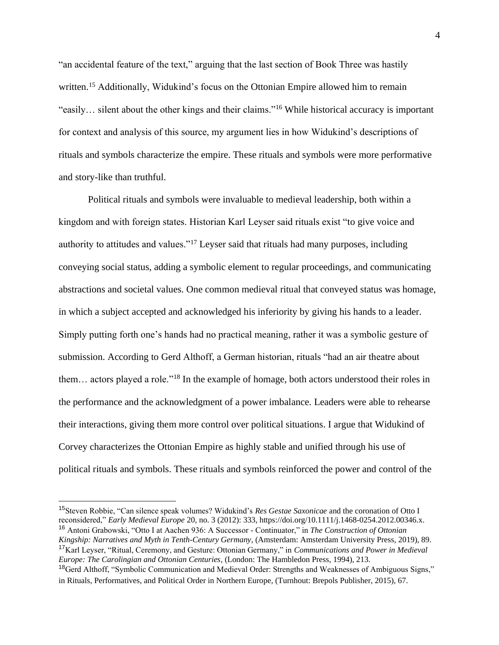"an accidental feature of the text," arguing that the last section of Book Three was hastily written.<sup>15</sup> Additionally, Widukind's focus on the Ottonian Empire allowed him to remain "easily… silent about the other kings and their claims."<sup>16</sup> While historical accuracy is important for context and analysis of this source, my argument lies in how Widukind's descriptions of rituals and symbols characterize the empire. These rituals and symbols were more performative and story-like than truthful.

Political rituals and symbols were invaluable to medieval leadership, both within a kingdom and with foreign states. Historian Karl Leyser said rituals exist "to give voice and authority to attitudes and values."<sup>17</sup> Leyser said that rituals had many purposes, including conveying social status, adding a symbolic element to regular proceedings, and communicating abstractions and societal values. One common medieval ritual that conveyed status was homage, in which a subject accepted and acknowledged his inferiority by giving his hands to a leader. Simply putting forth one's hands had no practical meaning, rather it was a symbolic gesture of submission. According to Gerd Althoff, a German historian, rituals "had an air theatre about them… actors played a role."<sup>18</sup> In the example of homage, both actors understood their roles in the performance and the acknowledgment of a power imbalance. Leaders were able to rehearse their interactions, giving them more control over political situations. I argue that Widukind of Corvey characterizes the Ottonian Empire as highly stable and unified through his use of political rituals and symbols. These rituals and symbols reinforced the power and control of the

<sup>15</sup>Steven Robbie, "Can silence speak volumes? Widukind's *Res Gestae Saxonicae* and the coronation of Otto I reconsidered," *Early Medieval Europe* 20, no. 3 (2012): 333, https://doi.org/10.1111/j.1468-0254.2012.00346.x. <sup>16</sup> Antoni Grabowski, "Otto I at Aachen 936: A Successor - Continuator," in *The Construction of Ottonian Kingship: Narratives and Myth in Tenth-Century Germany*, (Amsterdam: Amsterdam University Press, 2019), 89.

<sup>17</sup>Karl Leyser, "Ritual, Ceremony, and Gesture: Ottonian Germany," in *Communications and Power in Medieval Europe: The Carolingian and Ottonian Centuries*, (London: The Hambledon Press, 1994), 213.

<sup>&</sup>lt;sup>18</sup>Gerd Althoff, "Symbolic Communication and Medieval Order: Strengths and Weaknesses of Ambiguous Signs," in Rituals, Performatives, and Political Order in Northern Europe, (Turnhout: Brepols Publisher, 2015), 67.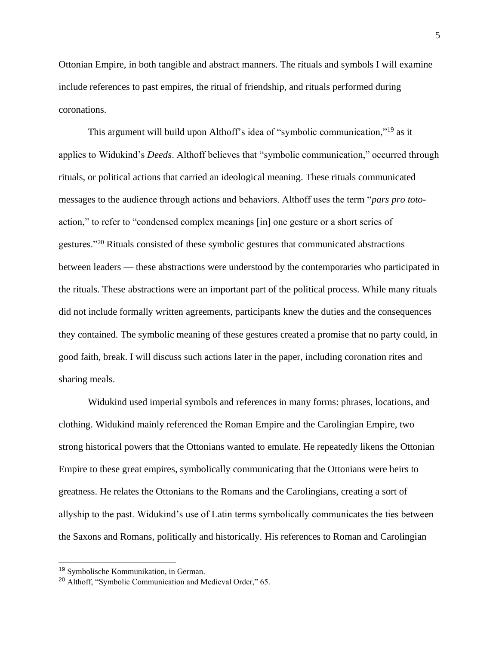Ottonian Empire, in both tangible and abstract manners. The rituals and symbols I will examine include references to past empires, the ritual of friendship, and rituals performed during coronations.

This argument will build upon Althoff's idea of "symbolic communication,"<sup>19</sup> as it applies to Widukind's *Deeds*. Althoff believes that "symbolic communication," occurred through rituals, or political actions that carried an ideological meaning. These rituals communicated messages to the audience through actions and behaviors. Althoff uses the term "*pars pro toto*action," to refer to "condensed complex meanings [in] one gesture or a short series of gestures."<sup>20</sup> Rituals consisted of these symbolic gestures that communicated abstractions between leaders — these abstractions were understood by the contemporaries who participated in the rituals. These abstractions were an important part of the political process. While many rituals did not include formally written agreements, participants knew the duties and the consequences they contained. The symbolic meaning of these gestures created a promise that no party could, in good faith, break. I will discuss such actions later in the paper, including coronation rites and sharing meals.

Widukind used imperial symbols and references in many forms: phrases, locations, and clothing. Widukind mainly referenced the Roman Empire and the Carolingian Empire, two strong historical powers that the Ottonians wanted to emulate. He repeatedly likens the Ottonian Empire to these great empires, symbolically communicating that the Ottonians were heirs to greatness. He relates the Ottonians to the Romans and the Carolingians, creating a sort of allyship to the past. Widukind's use of Latin terms symbolically communicates the ties between the Saxons and Romans, politically and historically. His references to Roman and Carolingian

<sup>19</sup> Symbolische Kommunikation, in German.

<sup>20</sup> Althoff, "Symbolic Communication and Medieval Order," 65.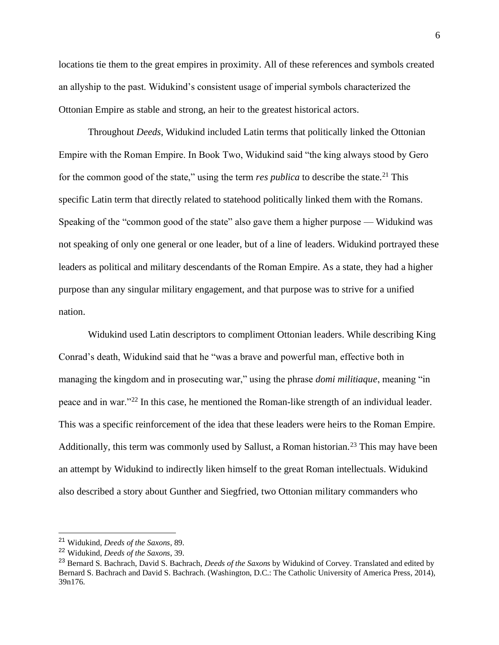locations tie them to the great empires in proximity. All of these references and symbols created an allyship to the past. Widukind's consistent usage of imperial symbols characterized the Ottonian Empire as stable and strong, an heir to the greatest historical actors.

Throughout *Deeds*, Widukind included Latin terms that politically linked the Ottonian Empire with the Roman Empire. In Book Two, Widukind said "the king always stood by Gero for the common good of the state," using the term *res publica* to describe the state.<sup>21</sup> This specific Latin term that directly related to statehood politically linked them with the Romans. Speaking of the "common good of the state" also gave them a higher purpose — Widukind was not speaking of only one general or one leader, but of a line of leaders. Widukind portrayed these leaders as political and military descendants of the Roman Empire. As a state, they had a higher purpose than any singular military engagement, and that purpose was to strive for a unified nation.

Widukind used Latin descriptors to compliment Ottonian leaders. While describing King Conrad's death, Widukind said that he "was a brave and powerful man, effective both in managing the kingdom and in prosecuting war," using the phrase *domi militiaque*, meaning "in peace and in war."<sup>22</sup> In this case, he mentioned the Roman-like strength of an individual leader. This was a specific reinforcement of the idea that these leaders were heirs to the Roman Empire. Additionally, this term was commonly used by Sallust, a Roman historian.<sup>23</sup> This may have been an attempt by Widukind to indirectly liken himself to the great Roman intellectuals. Widukind also described a story about Gunther and Siegfried, two Ottonian military commanders who

<sup>21</sup> Widukind, *Deeds of the Saxons*, 89.

<sup>22</sup> Widukind, *Deeds of the Saxons*, 39.

<sup>23</sup> Bernard S. Bachrach, David S. Bachrach, *Deeds of the Saxons* by Widukind of Corvey. Translated and edited by Bernard S. Bachrach and David S. Bachrach. (Washington, D.C.: The Catholic University of America Press, 2014), 39n176.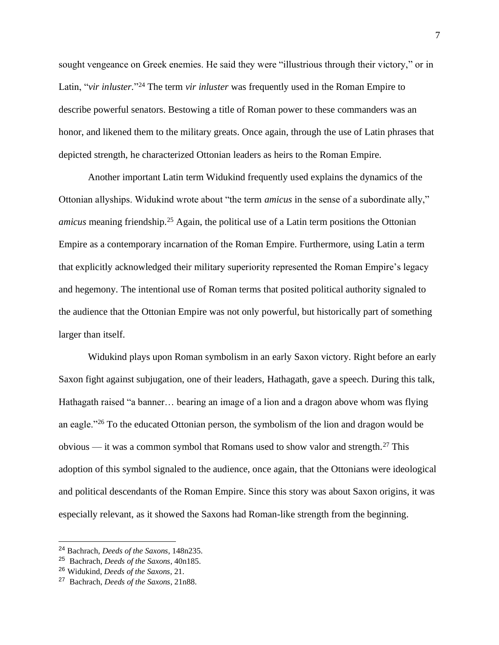sought vengeance on Greek enemies. He said they were "illustrious through their victory," or in Latin, "*vir inluster*."<sup>24</sup> The term *vir inluster* was frequently used in the Roman Empire to describe powerful senators. Bestowing a title of Roman power to these commanders was an honor, and likened them to the military greats. Once again, through the use of Latin phrases that depicted strength, he characterized Ottonian leaders as heirs to the Roman Empire.

Another important Latin term Widukind frequently used explains the dynamics of the Ottonian allyships. Widukind wrote about "the term *amicus* in the sense of a subordinate ally," *amicus* meaning friendship.<sup>25</sup> Again, the political use of a Latin term positions the Ottonian Empire as a contemporary incarnation of the Roman Empire. Furthermore, using Latin a term that explicitly acknowledged their military superiority represented the Roman Empire's legacy and hegemony. The intentional use of Roman terms that posited political authority signaled to the audience that the Ottonian Empire was not only powerful, but historically part of something larger than itself.

Widukind plays upon Roman symbolism in an early Saxon victory. Right before an early Saxon fight against subjugation, one of their leaders, Hathagath, gave a speech. During this talk, Hathagath raised "a banner… bearing an image of a lion and a dragon above whom was flying an eagle."<sup>26</sup> To the educated Ottonian person, the symbolism of the lion and dragon would be obvious — it was a common symbol that Romans used to show valor and strength.<sup>27</sup> This adoption of this symbol signaled to the audience, once again, that the Ottonians were ideological and political descendants of the Roman Empire. Since this story was about Saxon origins, it was especially relevant, as it showed the Saxons had Roman-like strength from the beginning.

<sup>24</sup> Bachrach, *Deeds of the Saxons*, 148n235.

<sup>25</sup> Bachrach, *Deeds of the Saxons*, 40n185.

<sup>26</sup> Widukind, *Deeds of the Saxons*, 21.

<sup>27</sup> Bachrach, *Deeds of the Saxons*, 21n88.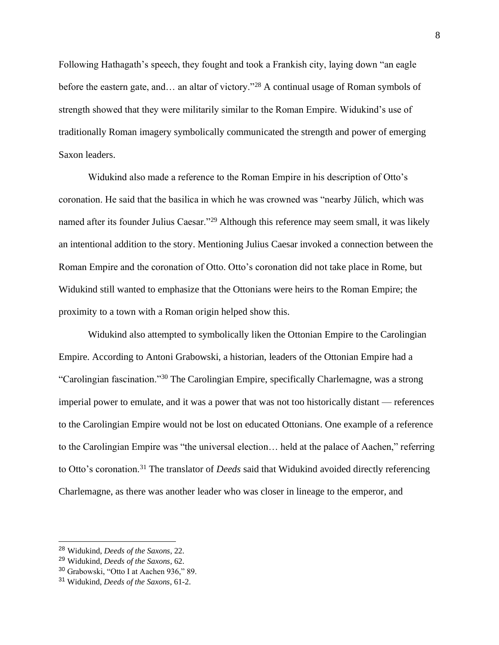Following Hathagath's speech, they fought and took a Frankish city, laying down "an eagle before the eastern gate, and… an altar of victory."<sup>28</sup> A continual usage of Roman symbols of strength showed that they were militarily similar to the Roman Empire. Widukind's use of traditionally Roman imagery symbolically communicated the strength and power of emerging Saxon leaders.

Widukind also made a reference to the Roman Empire in his description of Otto's coronation. He said that the basilica in which he was crowned was "nearby Jülich, which was named after its founder Julius Caesar."<sup>29</sup> Although this reference may seem small, it was likely an intentional addition to the story. Mentioning Julius Caesar invoked a connection between the Roman Empire and the coronation of Otto. Otto's coronation did not take place in Rome, but Widukind still wanted to emphasize that the Ottonians were heirs to the Roman Empire; the proximity to a town with a Roman origin helped show this.

Widukind also attempted to symbolically liken the Ottonian Empire to the Carolingian Empire. According to Antoni Grabowski, a historian, leaders of the Ottonian Empire had a "Carolingian fascination."<sup>30</sup> The Carolingian Empire, specifically Charlemagne, was a strong imperial power to emulate, and it was a power that was not too historically distant — references to the Carolingian Empire would not be lost on educated Ottonians. One example of a reference to the Carolingian Empire was "the universal election… held at the palace of Aachen," referring to Otto's coronation.<sup>31</sup> The translator of *Deeds* said that Widukind avoided directly referencing Charlemagne, as there was another leader who was closer in lineage to the emperor, and

<sup>28</sup> Widukind, *Deeds of the Saxons*, 22.

<sup>29</sup> Widukind, *Deeds of the Saxons*, 62.

<sup>30</sup> Grabowski, "Otto I at Aachen 936," 89.

<sup>31</sup> Widukind, *Deeds of the Saxons*, 61-2.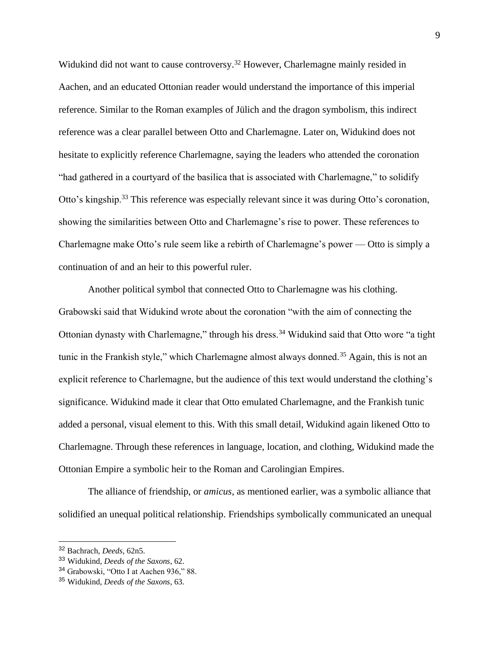Widukind did not want to cause controversy.<sup>32</sup> However, Charlemagne mainly resided in Aachen, and an educated Ottonian reader would understand the importance of this imperial reference. Similar to the Roman examples of Jülich and the dragon symbolism, this indirect reference was a clear parallel between Otto and Charlemagne. Later on, Widukind does not hesitate to explicitly reference Charlemagne, saying the leaders who attended the coronation "had gathered in a courtyard of the basilica that is associated with Charlemagne," to solidify Otto's kingship.<sup>33</sup> This reference was especially relevant since it was during Otto's coronation, showing the similarities between Otto and Charlemagne's rise to power. These references to Charlemagne make Otto's rule seem like a rebirth of Charlemagne's power — Otto is simply a continuation of and an heir to this powerful ruler.

Another political symbol that connected Otto to Charlemagne was his clothing. Grabowski said that Widukind wrote about the coronation "with the aim of connecting the Ottonian dynasty with Charlemagne," through his dress.<sup>34</sup> Widukind said that Otto wore "a tight tunic in the Frankish style," which Charlemagne almost always donned.<sup>35</sup> Again, this is not an explicit reference to Charlemagne, but the audience of this text would understand the clothing's significance. Widukind made it clear that Otto emulated Charlemagne, and the Frankish tunic added a personal, visual element to this. With this small detail, Widukind again likened Otto to Charlemagne. Through these references in language, location, and clothing, Widukind made the Ottonian Empire a symbolic heir to the Roman and Carolingian Empires.

The alliance of friendship, or *amicus*, as mentioned earlier, was a symbolic alliance that solidified an unequal political relationship. Friendships symbolically communicated an unequal

<sup>32</sup> Bachrach, *Deeds*, 62n5.

<sup>33</sup> Widukind, *Deeds of the Saxons*, 62.

<sup>34</sup> Grabowski, "Otto I at Aachen 936," 88.

<sup>35</sup> Widukind, *Deeds of the Saxons*, 63.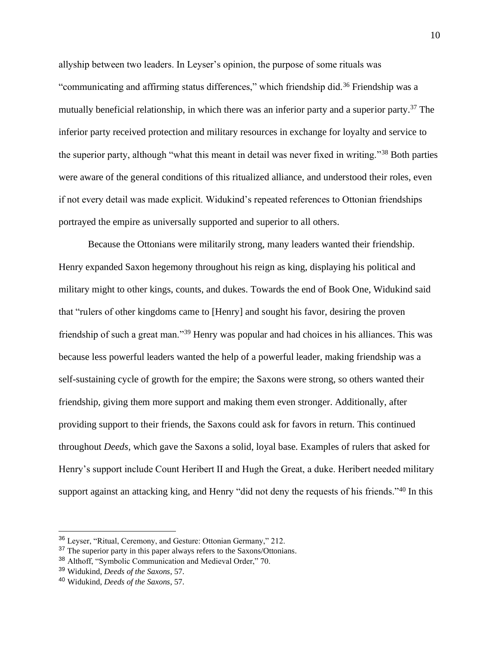allyship between two leaders. In Leyser's opinion, the purpose of some rituals was "communicating and affirming status differences," which friendship did.<sup>36</sup> Friendship was a mutually beneficial relationship, in which there was an inferior party and a superior party.<sup>37</sup> The inferior party received protection and military resources in exchange for loyalty and service to the superior party, although "what this meant in detail was never fixed in writing."<sup>38</sup> Both parties were aware of the general conditions of this ritualized alliance, and understood their roles, even if not every detail was made explicit. Widukind's repeated references to Ottonian friendships portrayed the empire as universally supported and superior to all others.

Because the Ottonians were militarily strong, many leaders wanted their friendship. Henry expanded Saxon hegemony throughout his reign as king, displaying his political and military might to other kings, counts, and dukes. Towards the end of Book One, Widukind said that "rulers of other kingdoms came to [Henry] and sought his favor, desiring the proven friendship of such a great man."<sup>39</sup> Henry was popular and had choices in his alliances. This was because less powerful leaders wanted the help of a powerful leader, making friendship was a self-sustaining cycle of growth for the empire; the Saxons were strong, so others wanted their friendship, giving them more support and making them even stronger. Additionally, after providing support to their friends, the Saxons could ask for favors in return. This continued throughout *Deeds*, which gave the Saxons a solid, loyal base. Examples of rulers that asked for Henry's support include Count Heribert II and Hugh the Great, a duke. Heribert needed military support against an attacking king, and Henry "did not deny the requests of his friends."<sup>40</sup> In this

<sup>36</sup> Leyser, "Ritual, Ceremony, and Gesture: Ottonian Germany," 212.

<sup>&</sup>lt;sup>37</sup> The superior party in this paper always refers to the Saxons/Ottonians.

<sup>38</sup> Althoff, "Symbolic Communication and Medieval Order," 70.

<sup>39</sup> Widukind, *Deeds of the Saxons*, 57.

<sup>40</sup> Widukind, *Deeds of the Saxons*, 57.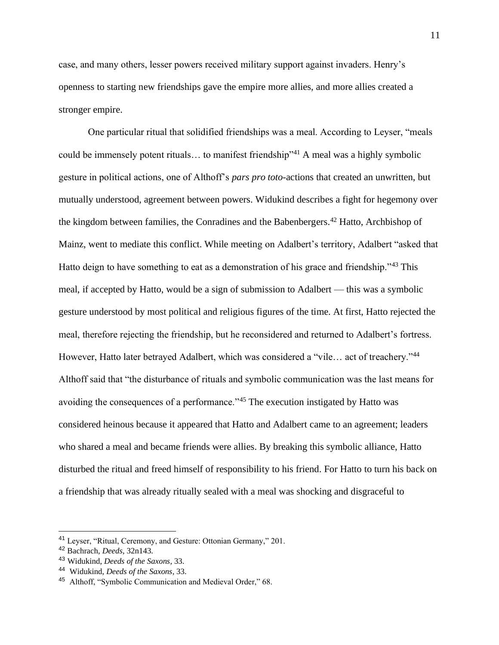case, and many others, lesser powers received military support against invaders. Henry's openness to starting new friendships gave the empire more allies, and more allies created a stronger empire.

One particular ritual that solidified friendships was a meal. According to Leyser, "meals could be immensely potent rituals... to manifest friendship"<sup>41</sup> A meal was a highly symbolic gesture in political actions, one of Althoff's *pars pro toto*-actions that created an unwritten, but mutually understood, agreement between powers. Widukind describes a fight for hegemony over the kingdom between families, the Conradines and the Babenbergers.<sup>42</sup> Hatto, Archbishop of Mainz, went to mediate this conflict. While meeting on Adalbert's territory, Adalbert "asked that Hatto deign to have something to eat as a demonstration of his grace and friendship."<sup>43</sup> This meal, if accepted by Hatto, would be a sign of submission to Adalbert — this was a symbolic gesture understood by most political and religious figures of the time. At first, Hatto rejected the meal, therefore rejecting the friendship, but he reconsidered and returned to Adalbert's fortress. However, Hatto later betrayed Adalbert, which was considered a "vile... act of treachery."<sup>44</sup> Althoff said that "the disturbance of rituals and symbolic communication was the last means for avoiding the consequences of a performance."<sup>45</sup> The execution instigated by Hatto was considered heinous because it appeared that Hatto and Adalbert came to an agreement; leaders who shared a meal and became friends were allies. By breaking this symbolic alliance, Hatto disturbed the ritual and freed himself of responsibility to his friend. For Hatto to turn his back on a friendship that was already ritually sealed with a meal was shocking and disgraceful to

<sup>41</sup> Leyser, "Ritual, Ceremony, and Gesture: Ottonian Germany," 201.

<sup>42</sup> Bachrach, *Deeds*, 32n143.

<sup>43</sup> Widukind, *Deeds of the Saxons*, 33.

<sup>44</sup> Widukind, *Deeds of the Saxons*, 33.

<sup>45</sup> Althoff, "Symbolic Communication and Medieval Order," 68.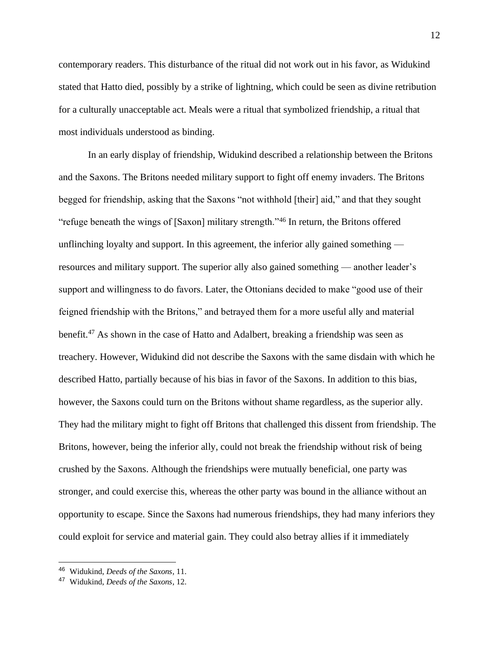contemporary readers. This disturbance of the ritual did not work out in his favor, as Widukind stated that Hatto died, possibly by a strike of lightning, which could be seen as divine retribution for a culturally unacceptable act. Meals were a ritual that symbolized friendship, a ritual that most individuals understood as binding.

In an early display of friendship, Widukind described a relationship between the Britons and the Saxons. The Britons needed military support to fight off enemy invaders. The Britons begged for friendship, asking that the Saxons "not withhold [their] aid," and that they sought "refuge beneath the wings of [Saxon] military strength."<sup>46</sup> In return, the Britons offered unflinching loyalty and support. In this agreement, the inferior ally gained something resources and military support. The superior ally also gained something — another leader's support and willingness to do favors. Later, the Ottonians decided to make "good use of their feigned friendship with the Britons," and betrayed them for a more useful ally and material benefit.<sup>47</sup> As shown in the case of Hatto and Adalbert, breaking a friendship was seen as treachery. However, Widukind did not describe the Saxons with the same disdain with which he described Hatto, partially because of his bias in favor of the Saxons. In addition to this bias, however, the Saxons could turn on the Britons without shame regardless, as the superior ally. They had the military might to fight off Britons that challenged this dissent from friendship. The Britons, however, being the inferior ally, could not break the friendship without risk of being crushed by the Saxons. Although the friendships were mutually beneficial, one party was stronger, and could exercise this, whereas the other party was bound in the alliance without an opportunity to escape. Since the Saxons had numerous friendships, they had many inferiors they could exploit for service and material gain. They could also betray allies if it immediately

<sup>46</sup> Widukind, *Deeds of the Saxons*, 11.

<sup>47</sup> Widukind, *Deeds of the Saxons*, 12.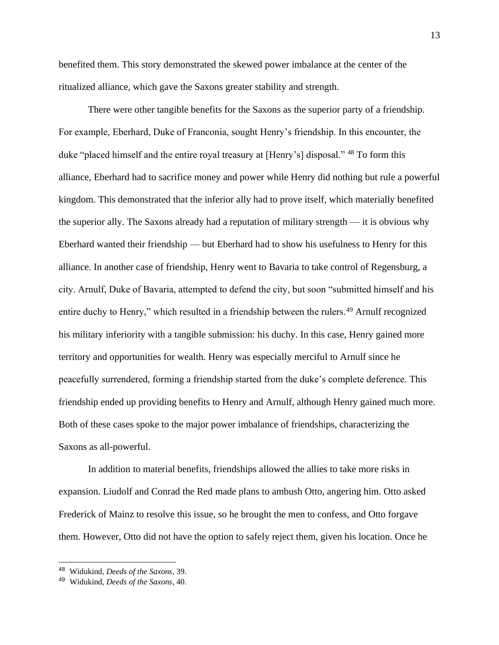benefited them. This story demonstrated the skewed power imbalance at the center of the ritualized alliance, which gave the Saxons greater stability and strength.

There were other tangible benefits for the Saxons as the superior party of a friendship. For example, Eberhard, Duke of Franconia, sought Henry's friendship. In this encounter, the duke "placed himself and the entire royal treasury at [Henry's] disposal." <sup>48</sup> To form this alliance, Eberhard had to sacrifice money and power while Henry did nothing but rule a powerful kingdom. This demonstrated that the inferior ally had to prove itself, which materially benefited the superior ally. The Saxons already had a reputation of military strength — it is obvious why Eberhard wanted their friendship — but Eberhard had to show his usefulness to Henry for this alliance. In another case of friendship, Henry went to Bavaria to take control of Regensburg, a city. Arnulf, Duke of Bavaria, attempted to defend the city, but soon "submitted himself and his entire duchy to Henry," which resulted in a friendship between the rulers.<sup>49</sup> Arnulf recognized his military inferiority with a tangible submission: his duchy. In this case, Henry gained more territory and opportunities for wealth. Henry was especially merciful to Arnulf since he peacefully surrendered, forming a friendship started from the duke's complete deference. This friendship ended up providing benefits to Henry and Arnulf, although Henry gained much more. Both of these cases spoke to the major power imbalance of friendships, characterizing the Saxons as all-powerful.

In addition to material benefits, friendships allowed the allies to take more risks in expansion. Liudolf and Conrad the Red made plans to ambush Otto, angering him. Otto asked Frederick of Mainz to resolve this issue, so he brought the men to confess, and Otto forgave them. However, Otto did not have the option to safely reject them, given his location. Once he

<sup>48</sup> Widukind, *Deeds of the Saxons*, 39.

<sup>49</sup> Widukind, *Deeds of the Saxons*, 40.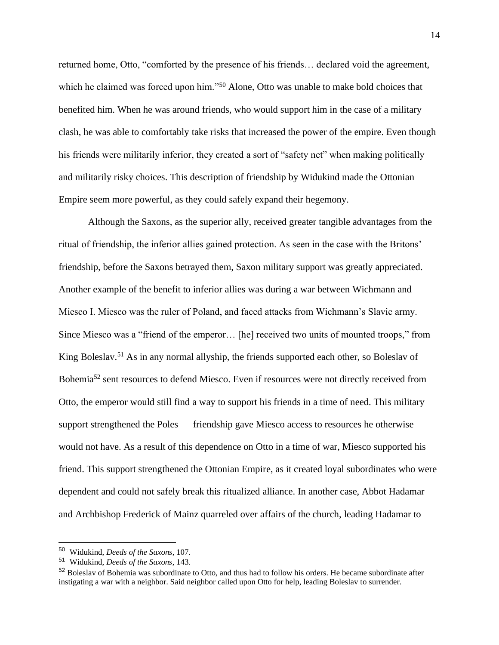returned home, Otto, "comforted by the presence of his friends… declared void the agreement, which he claimed was forced upon him."<sup>50</sup> Alone, Otto was unable to make bold choices that benefited him. When he was around friends, who would support him in the case of a military clash, he was able to comfortably take risks that increased the power of the empire. Even though his friends were militarily inferior, they created a sort of "safety net" when making politically and militarily risky choices. This description of friendship by Widukind made the Ottonian Empire seem more powerful, as they could safely expand their hegemony.

Although the Saxons, as the superior ally, received greater tangible advantages from the ritual of friendship, the inferior allies gained protection. As seen in the case with the Britons' friendship, before the Saxons betrayed them, Saxon military support was greatly appreciated. Another example of the benefit to inferior allies was during a war between Wichmann and Miesco I. Miesco was the ruler of Poland, and faced attacks from Wichmann's Slavic army. Since Miesco was a "friend of the emperor… [he] received two units of mounted troops," from King Boleslav.<sup>51</sup> As in any normal allyship, the friends supported each other, so Boleslav of Bohemia<sup>52</sup> sent resources to defend Miesco. Even if resources were not directly received from Otto, the emperor would still find a way to support his friends in a time of need. This military support strengthened the Poles — friendship gave Miesco access to resources he otherwise would not have. As a result of this dependence on Otto in a time of war, Miesco supported his friend. This support strengthened the Ottonian Empire, as it created loyal subordinates who were dependent and could not safely break this ritualized alliance. In another case, Abbot Hadamar and Archbishop Frederick of Mainz quarreled over affairs of the church, leading Hadamar to

<sup>50</sup> Widukind, *Deeds of the Saxons*, 107.

<sup>51</sup> Widukind, *Deeds of the Saxons*, 143.

<sup>&</sup>lt;sup>52</sup> Boleslav of Bohemia was subordinate to Otto, and thus had to follow his orders. He became subordinate after instigating a war with a neighbor. Said neighbor called upon Otto for help, leading Boleslav to surrender.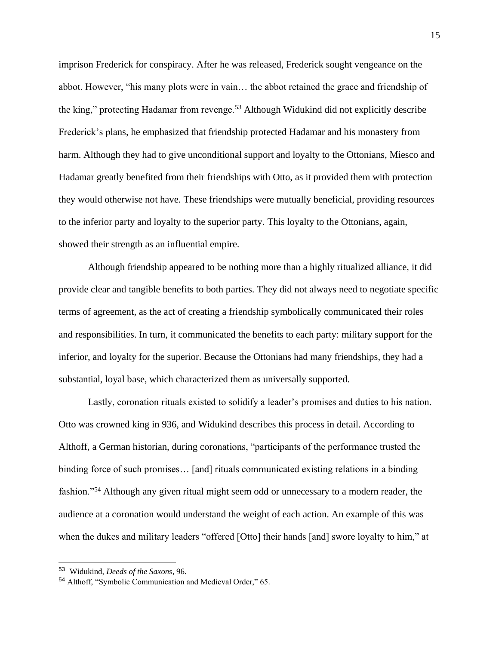imprison Frederick for conspiracy. After he was released, Frederick sought vengeance on the abbot. However, "his many plots were in vain… the abbot retained the grace and friendship of the king," protecting Hadamar from revenge.<sup>53</sup> Although Widukind did not explicitly describe Frederick's plans, he emphasized that friendship protected Hadamar and his monastery from harm. Although they had to give unconditional support and loyalty to the Ottonians, Miesco and Hadamar greatly benefited from their friendships with Otto, as it provided them with protection they would otherwise not have. These friendships were mutually beneficial, providing resources to the inferior party and loyalty to the superior party. This loyalty to the Ottonians, again, showed their strength as an influential empire.

Although friendship appeared to be nothing more than a highly ritualized alliance, it did provide clear and tangible benefits to both parties. They did not always need to negotiate specific terms of agreement, as the act of creating a friendship symbolically communicated their roles and responsibilities. In turn, it communicated the benefits to each party: military support for the inferior, and loyalty for the superior. Because the Ottonians had many friendships, they had a substantial, loyal base, which characterized them as universally supported.

Lastly, coronation rituals existed to solidify a leader's promises and duties to his nation. Otto was crowned king in 936, and Widukind describes this process in detail. According to Althoff, a German historian, during coronations, "participants of the performance trusted the binding force of such promises… [and] rituals communicated existing relations in a binding fashion."<sup>54</sup> Although any given ritual might seem odd or unnecessary to a modern reader, the audience at a coronation would understand the weight of each action. An example of this was when the dukes and military leaders "offered [Otto] their hands [and] swore loyalty to him," at

<sup>53</sup> Widukind, *Deeds of the Saxons*, 96.

<sup>54</sup> Althoff, "Symbolic Communication and Medieval Order," 65.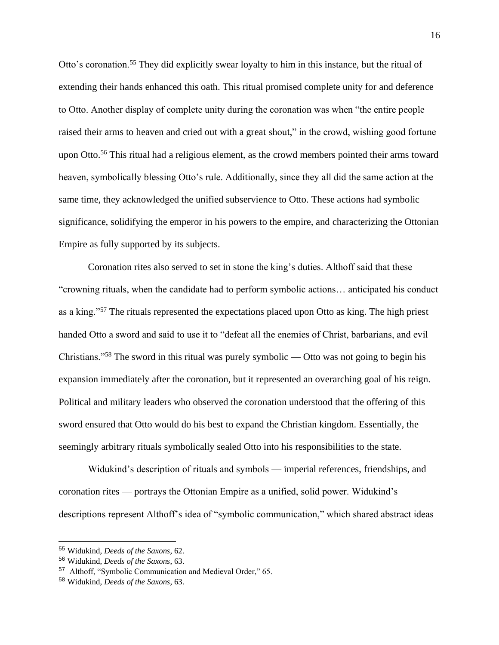Otto's coronation.<sup>55</sup> They did explicitly swear loyalty to him in this instance, but the ritual of extending their hands enhanced this oath. This ritual promised complete unity for and deference to Otto. Another display of complete unity during the coronation was when "the entire people raised their arms to heaven and cried out with a great shout," in the crowd, wishing good fortune upon Otto.<sup>56</sup> This ritual had a religious element, as the crowd members pointed their arms toward heaven, symbolically blessing Otto's rule. Additionally, since they all did the same action at the same time, they acknowledged the unified subservience to Otto. These actions had symbolic significance, solidifying the emperor in his powers to the empire, and characterizing the Ottonian Empire as fully supported by its subjects.

Coronation rites also served to set in stone the king's duties. Althoff said that these "crowning rituals, when the candidate had to perform symbolic actions… anticipated his conduct as a king."<sup>57</sup> The rituals represented the expectations placed upon Otto as king. The high priest handed Otto a sword and said to use it to "defeat all the enemies of Christ, barbarians, and evil Christians."<sup>58</sup> The sword in this ritual was purely symbolic — Otto was not going to begin his expansion immediately after the coronation, but it represented an overarching goal of his reign. Political and military leaders who observed the coronation understood that the offering of this sword ensured that Otto would do his best to expand the Christian kingdom. Essentially, the seemingly arbitrary rituals symbolically sealed Otto into his responsibilities to the state.

Widukind's description of rituals and symbols — imperial references, friendships, and coronation rites — portrays the Ottonian Empire as a unified, solid power. Widukind's descriptions represent Althoff's idea of "symbolic communication," which shared abstract ideas

<sup>55</sup> Widukind, *Deeds of the Saxons*, 62.

<sup>56</sup> Widukind, *Deeds of the Saxons*, 63.

<sup>57</sup> Althoff, "Symbolic Communication and Medieval Order," 65.

<sup>58</sup> Widukind, *Deeds of the Saxons*, 63.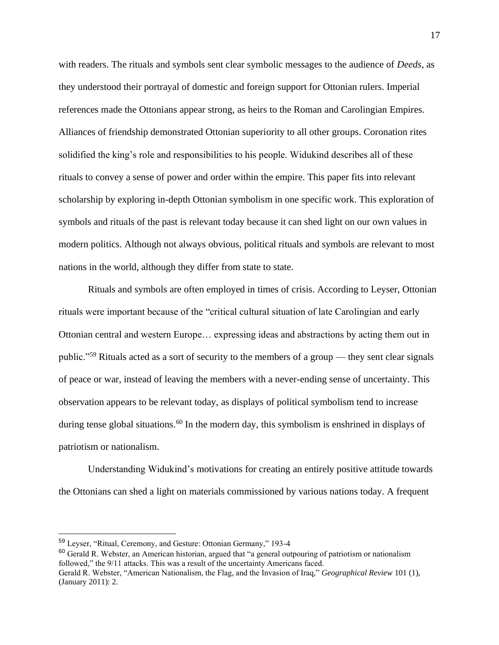with readers. The rituals and symbols sent clear symbolic messages to the audience of *Deeds*, as they understood their portrayal of domestic and foreign support for Ottonian rulers. Imperial references made the Ottonians appear strong, as heirs to the Roman and Carolingian Empires. Alliances of friendship demonstrated Ottonian superiority to all other groups. Coronation rites solidified the king's role and responsibilities to his people. Widukind describes all of these rituals to convey a sense of power and order within the empire. This paper fits into relevant scholarship by exploring in-depth Ottonian symbolism in one specific work. This exploration of symbols and rituals of the past is relevant today because it can shed light on our own values in modern politics. Although not always obvious, political rituals and symbols are relevant to most nations in the world, although they differ from state to state.

Rituals and symbols are often employed in times of crisis. According to Leyser, Ottonian rituals were important because of the "critical cultural situation of late Carolingian and early Ottonian central and western Europe… expressing ideas and abstractions by acting them out in public."<sup>59</sup> Rituals acted as a sort of security to the members of a group — they sent clear signals of peace or war, instead of leaving the members with a never-ending sense of uncertainty. This observation appears to be relevant today, as displays of political symbolism tend to increase during tense global situations.<sup>60</sup> In the modern day, this symbolism is enshrined in displays of patriotism or nationalism.

Understanding Widukind's motivations for creating an entirely positive attitude towards the Ottonians can shed a light on materials commissioned by various nations today. A frequent

 $60$  Gerald R. Webster, an American historian, argued that "a general outpouring of patriotism or nationalism followed," the 9/11 attacks. This was a result of the uncertainty Americans faced.

<sup>59</sup> Leyser, "Ritual, Ceremony, and Gesture: Ottonian Germany," 193-4

Gerald R. Webster, "American Nationalism, the Flag, and the Invasion of Iraq," *Geographical Review* 101 (1), (January 2011): 2.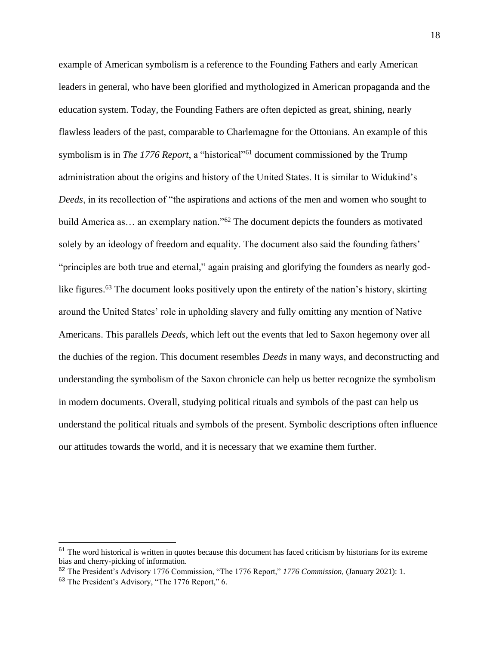example of American symbolism is a reference to the Founding Fathers and early American leaders in general, who have been glorified and mythologized in American propaganda and the education system. Today, the Founding Fathers are often depicted as great, shining, nearly flawless leaders of the past, comparable to Charlemagne for the Ottonians. An example of this symbolism is in *The 1776 Report*, a "historical"<sup>61</sup> document commissioned by the Trump administration about the origins and history of the United States. It is similar to Widukind's *Deeds*, in its recollection of "the aspirations and actions of the men and women who sought to build America as... an exemplary nation."<sup>62</sup> The document depicts the founders as motivated solely by an ideology of freedom and equality. The document also said the founding fathers' "principles are both true and eternal," again praising and glorifying the founders as nearly godlike figures.<sup>63</sup> The document looks positively upon the entirety of the nation's history, skirting around the United States' role in upholding slavery and fully omitting any mention of Native Americans. This parallels *Deeds*, which left out the events that led to Saxon hegemony over all the duchies of the region. This document resembles *Deeds* in many ways, and deconstructing and understanding the symbolism of the Saxon chronicle can help us better recognize the symbolism in modern documents. Overall, studying political rituals and symbols of the past can help us understand the political rituals and symbols of the present. Symbolic descriptions often influence our attitudes towards the world, and it is necessary that we examine them further.

 $61$  The word historical is written in quotes because this document has faced criticism by historians for its extreme bias and cherry-picking of information.

<sup>62</sup> The President's Advisory 1776 Commission, "The 1776 Report," *1776 Commission,* (January 2021): 1.

<sup>63</sup> The President's Advisory, "The 1776 Report," 6.